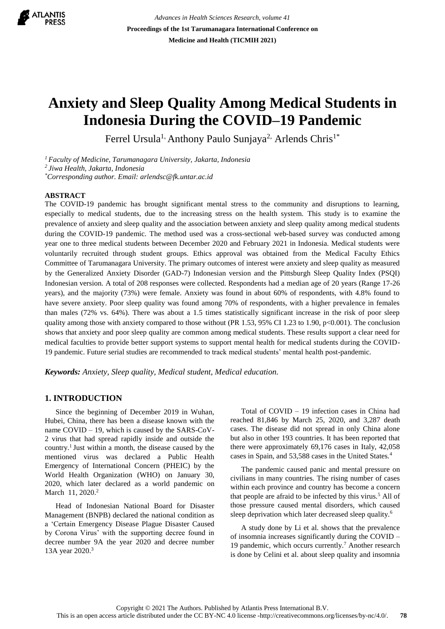

*Advances in Health Sciences Research, volume 41* **Proceedings of the 1st Tarumanagara International Conference on Medicine and Health (TICMIH 2021)**

# **Anxiety and Sleep Quality Among Medical Students in Indonesia During the COVID–19 Pandemic**

Ferrel Ursula<sup>1,</sup> Anthony Paulo Sunjaya<sup>2,</sup> Arlends Chris<sup>1\*</sup>

*<sup>1</sup>Faculty of Medicine, Tarumanagara University, Jakarta, Indonesia <sup>2</sup>Jiwa Health, Jakarta, Indonesia \*Corresponding author. Email: arlendsc@fk.untar.ac.id*

### **ABSTRACT**

The COVID-19 pandemic has brought significant mental stress to the community and disruptions to learning, especially to medical students, due to the increasing stress on the health system. This study is to examine the prevalence of anxiety and sleep quality and the association between anxiety and sleep quality among medical students during the COVID-19 pandemic. The method used was a cross-sectional web-based survey was conducted among year one to three medical students between December 2020 and February 2021 in Indonesia. Medical students were voluntarily recruited through student groups. Ethics approval was obtained from the Medical Faculty Ethics Committee of Tarumanagara University. The primary outcomes of interest were anxiety and sleep quality as measured by the Generalized Anxiety Disorder (GAD-7) Indonesian version and the Pittsburgh Sleep Quality Index (PSQI) Indonesian version. A total of 208 responses were collected. Respondents had a median age of 20 years (Range 17-26 years), and the majority (73%) were female. Anxiety was found in about 60% of respondents, with 4.8% found to have severe anxiety. Poor sleep quality was found among 70% of respondents, with a higher prevalence in females than males (72% vs. 64%). There was about a 1.5 times statistically significant increase in the risk of poor sleep quality among those with anxiety compared to those without (PR 1.53, 95% CI 1.23 to 1.90, p<0.001). The conclusion shows that anxiety and poor sleep quality are common among medical students. These results support a clear need for medical faculties to provide better support systems to support mental health for medical students during the COVID-19 pandemic. Future serial studies are recommended to track medical students' mental health post-pandemic.

*Keywords: Anxiety, Sleep quality, Medical student, Medical education.*

## **1. INTRODUCTION**

Since the beginning of December 2019 in Wuhan, Hubei, China, there has been a disease known with the name COVID – 19, which is caused by the SARS-CoV-2 virus that had spread rapidly inside and outside the country.<sup>1</sup> Just within a month, the disease caused by the mentioned virus was declared a Public Health Emergency of International Concern (PHEIC) by the World Health Organization (WHO) on January 30, 2020, which later declared as a world pandemic on March 11, 2020.<sup>2</sup>

Head of Indonesian National Board for Disaster Management (BNPB) declared the national condition as a 'Certain Emergency Disease Plague Disaster Caused by Corona Virus' with the supporting decree found in decree number 9A the year 2020 and decree number 13A year 2020.<sup>3</sup>

Total of COVID – 19 infection cases in China had reached 81,846 by March 25, 2020, and 3,287 death cases. The disease did not spread in only China alone but also in other 193 countries. It has been reported that there were approximately 69,176 cases in Italy, 42,058 cases in Spain, and 53,588 cases in the United States.<sup>4</sup>

The pandemic caused panic and mental pressure on civilians in many countries. The rising number of cases within each province and country has become a concern that people are afraid to be infected by this virus.<sup>5</sup> All of those pressure caused mental disorders, which caused sleep deprivation which later decreased sleep quality.<sup>6</sup>

A study done by Li et al. shows that the prevalence of insomnia increases significantly during the COVID – 19 pandemic, which occurs currently.<sup>7</sup> Another research is done by Celini et al. about sleep quality and insomnia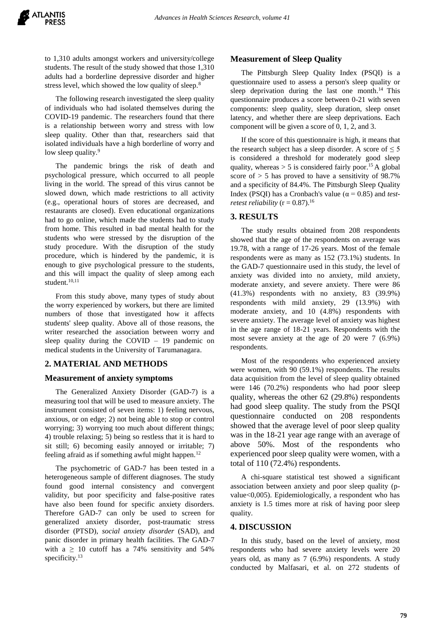to 1,310 adults amongst workers and university/college students. The result of the study showed that those 1,310 adults had a borderline depressive disorder and higher stress level, which showed the low quality of sleep.<sup>8</sup>

The following research investigated the sleep quality of individuals who had isolated themselves during the COVID-19 pandemic. The researchers found that there is a relationship between worry and stress with low sleep quality. Other than that, researchers said that isolated individuals have a high borderline of worry and low sleep quality.<sup>9</sup>

The pandemic brings the risk of death and psychological pressure, which occurred to all people living in the world. The spread of this virus cannot be slowed down, which made restrictions to all activity (e.g., operational hours of stores are decreased, and restaurants are closed). Even educational organizations had to go online, which made the students had to study from home. This resulted in bad mental health for the students who were stressed by the disruption of the study procedure. With the disruption of the study procedure, which is hindered by the pandemic, it is enough to give psychological pressure to the students, and this will impact the quality of sleep among each student.<sup>10,11</sup>

From this study above, many types of study about the worry experienced by workers, but there are limited numbers of those that investigated how it affects students' sleep quality. Above all of those reasons, the writer researched the association between worry and sleep quality during the COVID  $-19$  pandemic on medical students in the University of Tarumanagara.

#### **2. MATERIAL AND METHODS**

#### **Measurement of anxiety symptoms**

The Generalized Anxiety Disorder (GAD-7) is a measuring tool that will be used to measure anxiety. The instrument consisted of seven items: 1) feeling nervous, anxious, or on edge; 2) not being able to stop or control worrying; 3) worrying too much about different things; 4) trouble relaxing; 5) being so restless that it is hard to sit still; 6) becoming easily annoyed or irritable; 7) feeling afraid as if something awful might happen.<sup>12</sup>

The psychometric of GAD-7 has been tested in a heterogeneous sample of different diagnoses. The study found good internal consistency and convergent validity, but poor specificity and false-positive rates have also been found for specific anxiety disorders. Therefore GAD-7 can only be used to screen for generalized anxiety disorder, post-traumatic stress disorder (PTSD), *social anxiety disorder* (SAD), and panic disorder in primary health facilities. The GAD-7 with a  $\geq$  10 cutoff has a 74% sensitivity and 54% specificity.<sup>13</sup>

#### **Measurement of Sleep Quality**

The Pittsburgh Sleep Quality Index (PSQI) is a questionnaire used to assess a person's sleep quality or sleep deprivation during the last one month.<sup>14</sup> This questionnaire produces a score between 0-21 with seven components: sleep quality, sleep duration, sleep onset latency, and whether there are sleep deprivations. Each component will be given a score of 0, 1, 2, and 3.

If the score of this questionnaire is high, it means that the research subject has a sleep disorder. A score of  $\leq 5$ is considered a threshold for moderately good sleep quality, whereas  $> 5$  is considered fairly poor.<sup>15</sup> A global score of  $> 5$  has proved to have a sensitivity of 98.7% and a specificity of 84.4%. The Pittsburgh Sleep Quality Index (PSQI) has a Cronbach's value ( $\alpha = 0.85$ ) and *testretest reliability*  $(r = 0.87)$ .<sup>16</sup>

#### **3. RESULTS**

The study results obtained from 208 respondents showed that the age of the respondents on average was 19.78, with a range of 17-26 years. Most of the female respondents were as many as 152 (73.1%) students. In the GAD-7 questionnaire used in this study, the level of anxiety was divided into no anxiety, mild anxiety, moderate anxiety, and severe anxiety. There were 86 (41.3%) respondents with no anxiety, 83 (39.9%) respondents with mild anxiety, 29 (13.9%) with moderate anxiety, and 10 (4.8%) respondents with severe anxiety. The average level of anxiety was highest in the age range of 18-21 years. Respondents with the most severe anxiety at the age of 20 were 7 (6.9%) respondents.

Most of the respondents who experienced anxiety were women, with 90 (59.1%) respondents. The results data acquisition from the level of sleep quality obtained were 146 (70.2%) respondents who had poor sleep quality, whereas the other 62 (29.8%) respondents had good sleep quality. The study from the PSQI questionnaire conducted on 208 respondents showed that the average level of poor sleep quality was in the 18-21 year age range with an average of above 50%. Most of the respondents who experienced poor sleep quality were women, with a total of 110 (72.4%) respondents.

A chi-square statistical test showed a significant association between anxiety and poor sleep quality (pvalue<0,005). Epidemiologically, a respondent who has anxiety is 1.5 times more at risk of having poor sleep quality.

#### **4. DISCUSSION**

In this study, based on the level of anxiety, most respondents who had severe anxiety levels were 20 years old, as many as 7 (6.9%) respondents. A study conducted by Malfasari, et al. on 272 students of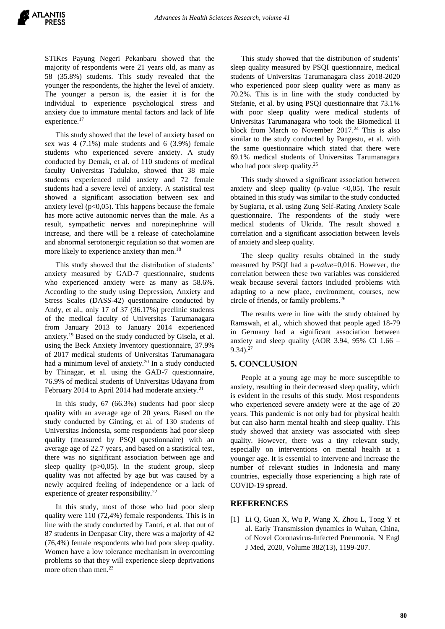STIKes Payung Negeri Pekanbaru showed that the majority of respondents were 21 years old, as many as 58 (35.8%) students. This study revealed that the younger the respondents, the higher the level of anxiety. The younger a person is, the easier it is for the individual to experience psychological stress and anxiety due to immature mental factors and lack of life experience.<sup>17</sup>

This study showed that the level of anxiety based on sex was 4 (7.1%) male students and 6 (3.9%) female students who experienced severe anxiety. A study conducted by Demak, et al. of 110 students of medical faculty Universitas Tadulako, showed that 38 male students experienced mild anxiety and 72 female students had a severe level of anxiety. A statistical test showed a significant association between sex and anxiety level  $(p<0,05)$ . This happens because the female has more active autonomic nerves than the male. As a result, sympathetic nerves and norepinephrine will increase, and there will be a release of catecholamine and abnormal serotonergic regulation so that women are more likely to experience anxiety than men.<sup>18</sup>

This study showed that the distribution of students' anxiety measured by GAD-7 questionnaire, students who experienced anxiety were as many as 58.6%. According to the study using Depression, Anxiety and Stress Scales (DASS-42) questionnaire conducted by Andy, et al., only 17 of 37 (36.17%) preclinic students of the medical faculty of Universitas Tarumanagara from January 2013 to January 2014 experienced anxiety. <sup>19</sup> Based on the study conducted by Gisela, et al. using the Beck Anxiety Inventory questionnaire, 37.9% of 2017 medical students of Universitas Tarumanagara had a minimum level of anxiety.<sup>20</sup> In a study conducted by Thinagar, et al. using the GAD-7 questionnaire, 76.9% of medical students of Universitas Udayana from February 2014 to April 2014 had moderate anxiety.<sup>21</sup>

In this study, 67 (66.3%) students had poor sleep quality with an average age of 20 years. Based on the study conducted by Ginting, et al. of 130 students of Universitas Indonesia, some respondents had poor sleep quality (measured by PSQI questionnaire) with an average age of 22.7 years, and based on a statistical test, there was no significant association between age and sleep quality  $(p>0,05)$ . In the student group, sleep quality was not affected by age but was caused by a newly acquired feeling of independence or a lack of experience of greater responsibility.<sup>22</sup>

In this study, most of those who had poor sleep quality were 110 (72,4%) female respondents. This is in line with the study conducted by Tantri, et al. that out of 87 students in Denpasar City, there was a majority of 42 (76,4%) female respondents who had poor sleep quality. Women have a low tolerance mechanism in overcoming problems so that they will experience sleep deprivations more often than men.<sup>23</sup>

This study showed that the distribution of students' sleep quality measured by PSQI questionnaire, medical students of Universitas Tarumanagara class 2018-2020 who experienced poor sleep quality were as many as 70.2%. This is in line with the study conducted by Stefanie, et al. by using PSQI questionnaire that 73.1% with poor sleep quality were medical students of Universitas Tarumanagara who took the Biomedical II block from March to November 2017. <sup>24</sup> This is also similar to the study conducted by Pangestu, et al. with the same questionnaire which stated that there were 69.1% medical students of Universitas Tarumanagara who had poor sleep quality.<sup>25</sup>

This study showed a significant association between anxiety and sleep quality (p-value  $\langle 0.05 \rangle$ ). The result obtained in this study was similar to the study conducted by Sugiarta, et al. using Zung Self-Rating Anxiety Scale questionnaire. The respondents of the study were medical students of Ukrida. The result showed a correlation and a significant association between levels of anxiety and sleep quality.

The sleep quality results obtained in the study measured by PSQI had a p-*value*=0,016. However, the correlation between these two variables was considered weak because several factors included problems with adapting to a new place, environment, courses, new circle of friends, or family problems. 26

The results were in line with the study obtained by Ramswah, et al., which showed that people aged 18-79 in Germany had a significant association between anxiety and sleep quality (AOR 3.94, 95% CI 1.66 –  $9.34$ ).<sup>27</sup>

# **5. CONCLUSION**

People at a young age may be more susceptible to anxiety, resulting in their decreased sleep quality, which is evident in the results of this study. Most respondents who experienced severe anxiety were at the age of 20 years. This pandemic is not only bad for physical health but can also harm mental health and sleep quality. This study showed that anxiety was associated with sleep quality. However, there was a tiny relevant study, especially on interventions on mental health at a younger age. It is essential to intervene and increase the number of relevant studies in Indonesia and many countries, especially those experiencing a high rate of COVID-19 spread.

#### **REFERENCES**

[1] Li Q, Guan X, Wu P, Wang X, Zhou L, Tong Y et al. Early Transmission dynamics in Wuhan, China, of Novel Coronavirus-Infected Pneumonia. N Engl J Med, 2020, Volume 382(13), 1199-207.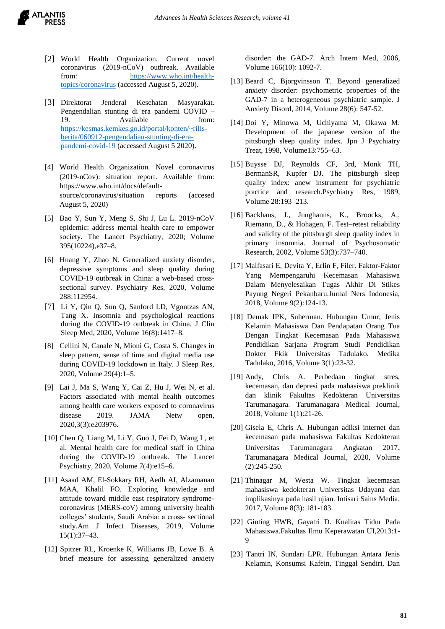

- [2] World Health Organization. Current novel coronavirus (2019-nCoV) outbreak. Available from: [https://www.who.int/health](https://www.who.int/health-topics/coronavirus)[topics/coronavirus](https://www.who.int/health-topics/coronavirus) (accessed August 5, 2020).
- [3] Direktorat Jenderal Kesehatan Masyarakat. Pengendalian stunting di era pandemi COVID – 19. Available from: [https://kesmas.kemkes.go.id/portal/konten/~rilis](https://kesmas.kemkes.go.id/portal/konten/~rilis-berita/060912-pengendalian-stunting-di-era-pandemi-covid-19)[berita/060912-pengendalian-stunting-di-era](https://kesmas.kemkes.go.id/portal/konten/~rilis-berita/060912-pengendalian-stunting-di-era-pandemi-covid-19)[pandemi-covid-19](https://kesmas.kemkes.go.id/portal/konten/~rilis-berita/060912-pengendalian-stunting-di-era-pandemi-covid-19) (accessed August 5 2020).
- [4] World Health Organization. Novel coronavirus (2019-nCov): situation report. Available from: https://www.who.int/docs/defaultsource/coronavirus/situation reports (accesed August 5, 2020)
- [5] Bao Y, Sun Y, Meng S, Shi J, Lu L. 2019-nCoV epidemic: address mental health care to empower society. The Lancet Psychiatry, 2020; Volume 395(10224),e37–8.
- [6] Huang Y, Zhao N. Generalized anxiety disorder, depressive symptoms and sleep quality during COVID-19 outbreak in China: a web-based crosssectional survey. Psychiatry Res, 2020, Volume 288:112954.
- [7] Li Y, Qin Q, Sun Q, Sanford LD, Vgontzas AN, Tang X. Insomnia and psychological reactions during the COVID-19 outbreak in China. J Clin Sleep Med, 2020, Volume 16(8):1417–8.
- [8] Cellini N, Canale N, Mioni G, Costa S. Changes in sleep pattern, sense of time and digital media use during COVID-19 lockdown in Italy. J Sleep Res, 2020, Volume 29(4):1–5.
- [9] Lai J, Ma S, Wang Y, Cai Z, Hu J, Wei N, et al. Factors associated with mental health outcomes among health care workers exposed to coronavirus disease 2019. JAMA Netw open, 2020,3(3):e203976.
- [10] Chen Q, Liang M, Li Y, Guo J, Fei D, Wang L, et al. Mental health care for medical staff in China during the COVID-19 outbreak. The Lancet Psychiatry, 2020, Volume 7(4):e15–6.
- [11] Asaad AM, El-Sokkary RH, Aedh AI, Alzamanan MAA, Khalil FO. Exploring knowledge and attitude toward middle east respiratory syndromecoronavirus (MERS-coV) among university health colleges' students, Saudi Arabia: a cross- sectional study.Am J Infect Diseases, 2019, Volume 15(1):37–43.
- [12] Spitzer RL, Kroenke K, Williams JB, Lowe B. A brief measure for assessing generalized anxiety

disorder: the GAD-7. Arch Intern Med, 2006, Volume 166(10): 1092-7.

- [13] Beard C, Bjorgvinsson T. Beyond generalized anxiety disorder: psychometric properties of the GAD-7 in a heterogeneous psychiatric sample. J Anxiety Disord, 2014, Volume 28(6): 547-52.
- [14] Doi Y, Minowa M, Uchiyama M, Okawa M. Development of the japanese version of the pittsburgh sleep quality index. Jpn J Psychiatry Treat, 1998, Volume13:755–63.
- [15] Buysse DJ, Reynolds CF, 3rd, Monk TH, BermanSR, Kupfer DJ. The pittsburgh sleep quality index: anew instrument for psychiatric practice and research.Psychiatry Res, 1989, Volume 28:193–213.
- [16] Backhaus, J., Junghanns, K., Broocks, A., Riemann, D., & Hohagen, F. Test–retest reliability and validity of the pittsburgh sleep quality index in primary insomnia. Journal of Psychosomatic Research, 2002, Volume 53(3):737–740.
- [17] Malfasari E, Devita Y, Erlin F, Filer. Faktor-Faktor Yang Mempengaruhi Kecemasan Mahasiswa Dalam Menyelesaikan Tugas Akhir Di Stikes Payung Negeri Pekanbaru.Jurnal Ners Indonesia, 2018, Volume 9(2):124-13.
- [18] Demak IPK, Suherman. Hubungan Umur, Jenis Kelamin Mahasiswa Dan Pendapatan Orang Tua Dengan Tingkat Kecemasan Pada Mahasiswa Pendidikan Sarjana Program Studi Pendidikan Dokter Fkik Universitas Tadulako. Medika Tadulako, 2016, Volume 3(1):23-32.
- [19] Andy, Chris A. Perbedaan tingkat stres, kecemasan, dan depresi pada mahasiswa preklinik dan klinik Fakultas Kedokteran Universitas Tarumanagara. Tarumanagara Medical Journal, 2018, Volume 1(1):21-26.
- [20] Gisela E, Chris A. Hubungan adiksi internet dan kecemasan pada mahasiswa Fakultas Kedokteran Universitas Tarumanagara Angkatan 2017. Tarumanagara Medical Journal, 2020, Volume (2):245-250.
- [21] Thinagar M, Westa W. Tingkat kecemasan mahasiswa kedokteran Universitas Udayana dan implikasinya pada hasil ujian. Intisari Sains Media, 2017, Volume 8(3): 181-183.
- [22] Ginting HWB, Gayatri D. Kualitas Tidur Pada Mahasiswa.Fakultas Ilmu Keperawatan UI,2013:1- 9
- [23] Tantri IN, Sundari LPR. Hubungan Antara Jenis Kelamin, Konsumsi Kafein, Tinggal Sendiri, Dan